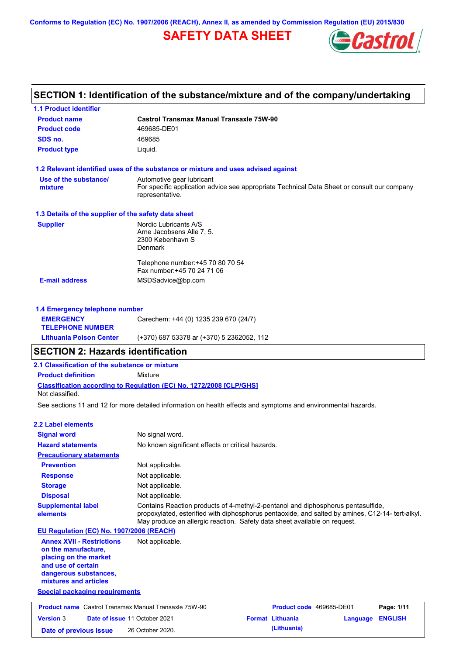**Conforms to Regulation (EC) No. 1907/2006 (REACH), Annex II, as amended by Commission Regulation (EU) 2015/830**

# **SAFETY DATA SHEET**



# **SECTION 1: Identification of the substance/mixture and of the company/undertaking**

**1.1 Product identifier**

| <b>Product name</b>                                                                                                                                      | <b>Castrol Transmax Manual Transaxle 75W-90</b>                                                                |                                                                                                                                                                                                                                                                   |                  |            |
|----------------------------------------------------------------------------------------------------------------------------------------------------------|----------------------------------------------------------------------------------------------------------------|-------------------------------------------------------------------------------------------------------------------------------------------------------------------------------------------------------------------------------------------------------------------|------------------|------------|
| <b>Product code</b>                                                                                                                                      | 469685-DE01                                                                                                    |                                                                                                                                                                                                                                                                   |                  |            |
| SDS no.                                                                                                                                                  | 469685                                                                                                         |                                                                                                                                                                                                                                                                   |                  |            |
| <b>Product type</b>                                                                                                                                      | Liquid.                                                                                                        |                                                                                                                                                                                                                                                                   |                  |            |
|                                                                                                                                                          | 1.2 Relevant identified uses of the substance or mixture and uses advised against                              |                                                                                                                                                                                                                                                                   |                  |            |
| Use of the substance/<br>mixture                                                                                                                         | Automotive gear lubricant<br>representative.                                                                   | For specific application advice see appropriate Technical Data Sheet or consult our company                                                                                                                                                                       |                  |            |
| 1.3 Details of the supplier of the safety data sheet                                                                                                     |                                                                                                                |                                                                                                                                                                                                                                                                   |                  |            |
| <b>Supplier</b>                                                                                                                                          | Nordic Lubricants A/S<br>Arne Jacobsens Alle 7, 5.<br>2300 København S<br>Denmark                              |                                                                                                                                                                                                                                                                   |                  |            |
|                                                                                                                                                          | Telephone number: +45 70 80 70 54<br>Fax number: +45 70 24 71 06                                               |                                                                                                                                                                                                                                                                   |                  |            |
| <b>E-mail address</b>                                                                                                                                    | MSDSadvice@bp.com                                                                                              |                                                                                                                                                                                                                                                                   |                  |            |
|                                                                                                                                                          |                                                                                                                |                                                                                                                                                                                                                                                                   |                  |            |
| 1.4 Emergency telephone number                                                                                                                           | Carechem: +44 (0) 1235 239 670 (24/7)                                                                          |                                                                                                                                                                                                                                                                   |                  |            |
| <b>EMERGENCY</b><br><b>TELEPHONE NUMBER</b>                                                                                                              |                                                                                                                |                                                                                                                                                                                                                                                                   |                  |            |
| <b>Lithuania Poison Center</b>                                                                                                                           | (+370) 687 53378 ar (+370) 5 2362052, 112                                                                      |                                                                                                                                                                                                                                                                   |                  |            |
| <b>SECTION 2: Hazards identification</b>                                                                                                                 |                                                                                                                |                                                                                                                                                                                                                                                                   |                  |            |
| 2.1 Classification of the substance or mixture                                                                                                           |                                                                                                                |                                                                                                                                                                                                                                                                   |                  |            |
| <b>Product definition</b>                                                                                                                                | Mixture                                                                                                        |                                                                                                                                                                                                                                                                   |                  |            |
| Not classified.                                                                                                                                          | Classification according to Regulation (EC) No. 1272/2008 [CLP/GHS]                                            |                                                                                                                                                                                                                                                                   |                  |            |
|                                                                                                                                                          | See sections 11 and 12 for more detailed information on health effects and symptoms and environmental hazards. |                                                                                                                                                                                                                                                                   |                  |            |
| <b>2.2 Label elements</b>                                                                                                                                |                                                                                                                |                                                                                                                                                                                                                                                                   |                  |            |
| <b>Signal word</b>                                                                                                                                       | No signal word.                                                                                                |                                                                                                                                                                                                                                                                   |                  |            |
| <b>Hazard statements</b>                                                                                                                                 | No known significant effects or critical hazards.                                                              |                                                                                                                                                                                                                                                                   |                  |            |
| <b>Precautionary statements</b>                                                                                                                          |                                                                                                                |                                                                                                                                                                                                                                                                   |                  |            |
| <b>Prevention</b>                                                                                                                                        | Not applicable.                                                                                                |                                                                                                                                                                                                                                                                   |                  |            |
| <b>Response</b>                                                                                                                                          | Not applicable.                                                                                                |                                                                                                                                                                                                                                                                   |                  |            |
| <b>Storage</b>                                                                                                                                           | Not applicable.                                                                                                |                                                                                                                                                                                                                                                                   |                  |            |
| <b>Disposal</b>                                                                                                                                          | Not applicable.                                                                                                |                                                                                                                                                                                                                                                                   |                  |            |
| <b>Supplemental label</b><br>elements                                                                                                                    |                                                                                                                | Contains Reaction products of 4-methyl-2-pentanol and diphosphorus pentasulfide,<br>propoxylated, esterified with diphosphorus pentaoxide, and salted by amines, C12-14- tert-alkyl.<br>May produce an allergic reaction. Safety data sheet available on request. |                  |            |
| EU Regulation (EC) No. 1907/2006 (REACH)                                                                                                                 |                                                                                                                |                                                                                                                                                                                                                                                                   |                  |            |
| <b>Annex XVII - Restrictions</b><br>on the manufacture,<br>placing on the market<br>and use of certain<br>dangerous substances,<br>mixtures and articles | Not applicable.                                                                                                |                                                                                                                                                                                                                                                                   |                  |            |
| <b>Special packaging requirements</b>                                                                                                                    |                                                                                                                |                                                                                                                                                                                                                                                                   |                  |            |
| <b>Product name</b> Castrol Transmax Manual Transaxle 75W-90                                                                                             |                                                                                                                | Product code 469685-DE01                                                                                                                                                                                                                                          |                  | Page: 1/11 |
| <b>Version 3</b>                                                                                                                                         | Date of issue 11 October 2021                                                                                  | <b>Format Lithuania</b>                                                                                                                                                                                                                                           | Language ENGLISH |            |

**Date of previous issue (Lithuania)** 26 October 2020.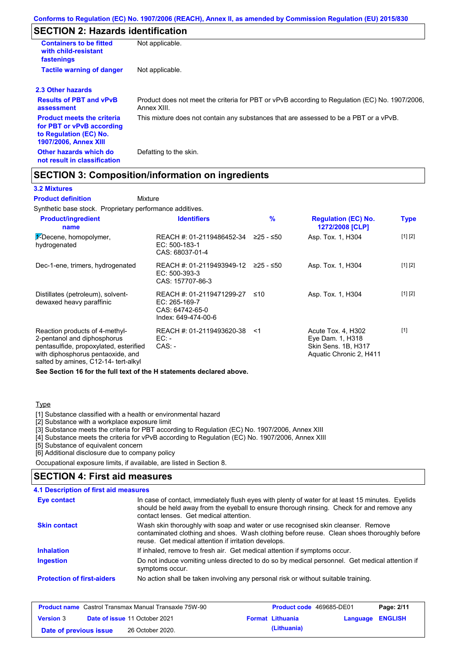# **SECTION 2: Hazards identification**

| <b>Containers to be fitted</b><br>with child-resistant<br>fastenings                                                     | Not applicable.                                                                                               |
|--------------------------------------------------------------------------------------------------------------------------|---------------------------------------------------------------------------------------------------------------|
| <b>Tactile warning of danger</b>                                                                                         | Not applicable.                                                                                               |
| 2.3 Other hazards                                                                                                        |                                                                                                               |
| <b>Results of PBT and vPvB</b><br>assessment                                                                             | Product does not meet the criteria for PBT or vPvB according to Regulation (EC) No. 1907/2006,<br>Annex XIII. |
| <b>Product meets the criteria</b><br>for PBT or vPvB according<br>to Regulation (EC) No.<br><b>1907/2006, Annex XIII</b> | This mixture does not contain any substances that are assessed to be a PBT or a vPvB.                         |
| Other hazards which do<br>not result in classification                                                                   | Defatting to the skin.                                                                                        |

# **SECTION 3: Composition/information on ingredients**

Mixture

### **3.2 Mixtures**

**Product definition**

Synthetic base stock. Proprietary performance additives.

| <b>Product/ingredient</b><br>name                                                                                                                                                    | <b>Identifiers</b>                                                                   | %         | <b>Regulation (EC) No.</b><br>1272/2008 [CLP]                                            | <b>Type</b> |
|--------------------------------------------------------------------------------------------------------------------------------------------------------------------------------------|--------------------------------------------------------------------------------------|-----------|------------------------------------------------------------------------------------------|-------------|
| $\frac{1}{2}$ -Decene, homopolymer,<br>hydrogenated                                                                                                                                  | REACH #: 01-2119486452-34<br>EC: 500-183-1<br>CAS: 68037-01-4                        | ≥25 - ≤50 | Asp. Tox. 1, H304                                                                        | [1] [2]     |
| Dec-1-ene, trimers, hydrogenated                                                                                                                                                     | REACH #: 01-2119493949-12<br>EC: 500-393-3<br>CAS: 157707-86-3                       | 225 - ≤50 | Asp. Tox. 1, H304                                                                        | [1] [2]     |
| Distillates (petroleum), solvent-<br>dewaxed heavy paraffinic                                                                                                                        | REACH #: 01-2119471299-27<br>EC: 265-169-7<br>CAS: 64742-65-0<br>Index: 649-474-00-6 | ≤10       | Asp. Tox. 1, H304                                                                        | [1] [2]     |
| Reaction products of 4-methyl-<br>2-pentanol and diphosphorus<br>pentasulfide, propoxylated, esterified<br>with diphosphorus pentaoxide, and<br>salted by amines, C12-14- tert-alkyl | REACH #: 01-2119493620-38<br>EC: -<br>$CAS: -$                                       | ≺1        | Acute Tox. 4, H302<br>Eye Dam. 1, H318<br>Skin Sens. 1B, H317<br>Aquatic Chronic 2, H411 | $[1]$       |

**See Section 16 for the full text of the H statements declared above.**

### **Type**

[1] Substance classified with a health or environmental hazard

[2] Substance with a workplace exposure limit

[3] Substance meets the criteria for PBT according to Regulation (EC) No. 1907/2006, Annex XIII

[4] Substance meets the criteria for vPvB according to Regulation (EC) No. 1907/2006, Annex XIII

[5] Substance of equivalent concern

[6] Additional disclosure due to company policy

Occupational exposure limits, if available, are listed in Section 8.

### **SECTION 4: First aid measures**

|                                   | <b>4.1 Description of first aid measures</b>                                                                                                                                                                                            |
|-----------------------------------|-----------------------------------------------------------------------------------------------------------------------------------------------------------------------------------------------------------------------------------------|
| Eye contact                       | In case of contact, immediately flush eyes with plenty of water for at least 15 minutes. Eyelids<br>should be held away from the eyeball to ensure thorough rinsing. Check for and remove any<br>contact lenses. Get medical attention. |
| <b>Skin contact</b>               | Wash skin thoroughly with soap and water or use recognised skin cleanser. Remove<br>contaminated clothing and shoes. Wash clothing before reuse. Clean shoes thoroughly before<br>reuse. Get medical attention if irritation develops.  |
| <b>Inhalation</b>                 | If inhaled, remove to fresh air. Get medical attention if symptoms occur.                                                                                                                                                               |
| <b>Ingestion</b>                  | Do not induce vomiting unless directed to do so by medical personnel. Get medical attention if<br>symptoms occur.                                                                                                                       |
| <b>Protection of first-aiders</b> | No action shall be taken involving any personal risk or without suitable training.                                                                                                                                                      |

|                        | <b>Product name</b> Castrol Transmax Manual Transaxle 75W-90 | <b>Product code</b> 469685-DE01 |                         | Page: 2/11 |
|------------------------|--------------------------------------------------------------|---------------------------------|-------------------------|------------|
| <b>Version 3</b>       | <b>Date of issue 11 October 2021</b>                         | <b>Format Lithuania</b>         | <b>Language ENGLISH</b> |            |
| Date of previous issue | 26 October 2020.                                             | (Lithuania)                     |                         |            |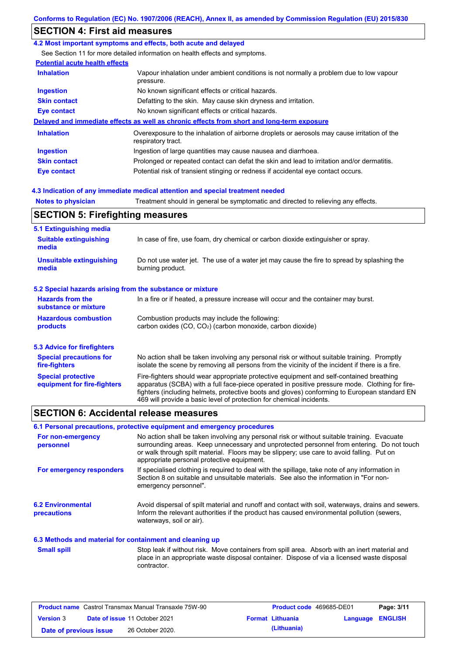# **SECTION 4: First aid measures**

### **4.2 Most important symptoms and effects, both acute and delayed**

See Section 11 for more detailed information on health effects and symptoms.

### **Potential acute health effects**

| <b>Inhalation</b>   | Vapour inhalation under ambient conditions is not normally a problem due to low vapour<br>pressure.               |  |
|---------------------|-------------------------------------------------------------------------------------------------------------------|--|
| <b>Ingestion</b>    | No known significant effects or critical hazards.                                                                 |  |
| <b>Skin contact</b> | Defatting to the skin. May cause skin dryness and irritation.                                                     |  |
| Eye contact         | No known significant effects or critical hazards.                                                                 |  |
|                     | Delayed and immediate effects as well as chronic effects from short and long-term exposure                        |  |
| <b>Inhalation</b>   | Overexposure to the inhalation of airborne droplets or aerosols may cause irritation of the<br>respiratory tract. |  |
| <b>Ingestion</b>    | Ingestion of large quantities may cause nausea and diarrhoea.                                                     |  |
| <b>Skin contact</b> | Prolonged or repeated contact can defat the skin and lead to irritation and/or dermatitis.                        |  |
| Eye contact         | Potential risk of transient stinging or redness if accidental eye contact occurs.                                 |  |

### **4.3 Indication of any immediate medical attention and special treatment needed**

**Notes to physician** Treatment should in general be symptomatic and directed to relieving any effects.

## **SECTION 5: Firefighting measures**

| 5.1 Extinguishing media                                   |                                                                                                                                                                                                                                                                                                                                                                   |
|-----------------------------------------------------------|-------------------------------------------------------------------------------------------------------------------------------------------------------------------------------------------------------------------------------------------------------------------------------------------------------------------------------------------------------------------|
| <b>Suitable extinguishing</b><br>media                    | In case of fire, use foam, dry chemical or carbon dioxide extinguisher or spray.                                                                                                                                                                                                                                                                                  |
| <b>Unsuitable extinguishing</b><br>media                  | Do not use water jet. The use of a water jet may cause the fire to spread by splashing the<br>burning product.                                                                                                                                                                                                                                                    |
| 5.2 Special hazards arising from the substance or mixture |                                                                                                                                                                                                                                                                                                                                                                   |
| <b>Hazards from the</b><br>substance or mixture           | In a fire or if heated, a pressure increase will occur and the container may burst.                                                                                                                                                                                                                                                                               |
| <b>Hazardous combustion</b><br>products                   | Combustion products may include the following:<br>carbon oxides $(CO, CO2)$ (carbon monoxide, carbon dioxide)                                                                                                                                                                                                                                                     |
| 5.3 Advice for firefighters                               |                                                                                                                                                                                                                                                                                                                                                                   |
| <b>Special precautions for</b><br>fire-fighters           | No action shall be taken involving any personal risk or without suitable training. Promptly<br>isolate the scene by removing all persons from the vicinity of the incident if there is a fire.                                                                                                                                                                    |
| <b>Special protective</b><br>equipment for fire-fighters  | Fire-fighters should wear appropriate protective equipment and self-contained breathing<br>apparatus (SCBA) with a full face-piece operated in positive pressure mode. Clothing for fire-<br>fighters (including helmets, protective boots and gloves) conforming to European standard EN<br>469 will provide a basic level of protection for chemical incidents. |

### **SECTION 6: Accidental release measures**

### **6.1 Personal precautions, protective equipment and emergency procedures**

| For non-emergency<br>personnel                           | No action shall be taken involving any personal risk or without suitable training. Evacuate<br>surrounding areas. Keep unnecessary and unprotected personnel from entering. Do not touch<br>or walk through spilt material. Floors may be slippery; use care to avoid falling. Put on<br>appropriate personal protective equipment. |
|----------------------------------------------------------|-------------------------------------------------------------------------------------------------------------------------------------------------------------------------------------------------------------------------------------------------------------------------------------------------------------------------------------|
| For emergency responders                                 | If specialised clothing is required to deal with the spillage, take note of any information in<br>Section 8 on suitable and unsuitable materials. See also the information in "For non-<br>emergency personnel".                                                                                                                    |
| <b>6.2 Environmental</b><br><b>precautions</b>           | Avoid dispersal of spilt material and runoff and contact with soil, waterways, drains and sewers.<br>Inform the relevant authorities if the product has caused environmental pollution (sewers,<br>waterways, soil or air).                                                                                                         |
| 6.3 Methods and material for containment and cleaning up |                                                                                                                                                                                                                                                                                                                                     |
| <b>Small spill</b>                                       | Stop leak if without risk. Move containers from spill area. Absorb with an inert material and<br>place in an appropriate waste disposal container. Dispose of via a licensed waste disposal<br>contractor.                                                                                                                          |

|                        | <b>Product name</b> Castrol Transmax Manual Transaxle 75W-90 | <b>Product code</b> 469685-DE01 |                  | Page: 3/11 |
|------------------------|--------------------------------------------------------------|---------------------------------|------------------|------------|
| <b>Version 3</b>       | <b>Date of issue 11 October 2021</b>                         | <b>Format Lithuania</b>         | Language ENGLISH |            |
| Date of previous issue | 26 October 2020.                                             | (Lithuania)                     |                  |            |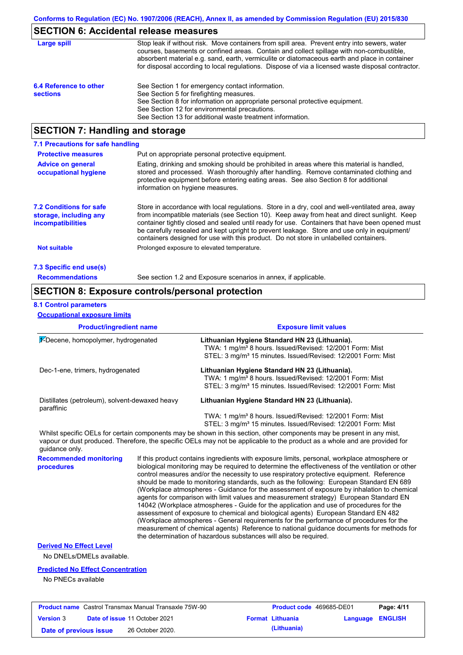# **SECTION 6: Accidental release measures**

| Large spill                               | Stop leak if without risk. Move containers from spill area. Prevent entry into sewers, water<br>courses, basements or confined areas. Contain and collect spillage with non-combustible,<br>absorbent material e.g. sand, earth, vermiculite or diatomaceous earth and place in container<br>for disposal according to local regulations. Dispose of via a licensed waste disposal contractor. |
|-------------------------------------------|------------------------------------------------------------------------------------------------------------------------------------------------------------------------------------------------------------------------------------------------------------------------------------------------------------------------------------------------------------------------------------------------|
| 6.4 Reference to other<br><b>sections</b> | See Section 1 for emergency contact information.<br>See Section 5 for firefighting measures.<br>See Section 8 for information on appropriate personal protective equipment.<br>See Section 12 for environmental precautions.<br>See Section 13 for additional waste treatment information.                                                                                                     |

# **SECTION 7: Handling and storage**

| 7.1 Precautions for safe handling                                                    |                                                                                                                                                                                                                                                                                                                                                                                                                                                                                          |
|--------------------------------------------------------------------------------------|------------------------------------------------------------------------------------------------------------------------------------------------------------------------------------------------------------------------------------------------------------------------------------------------------------------------------------------------------------------------------------------------------------------------------------------------------------------------------------------|
| <b>Protective measures</b>                                                           | Put on appropriate personal protective equipment.                                                                                                                                                                                                                                                                                                                                                                                                                                        |
| <b>Advice on general</b><br>occupational hygiene                                     | Eating, drinking and smoking should be prohibited in areas where this material is handled.<br>stored and processed. Wash thoroughly after handling. Remove contaminated clothing and<br>protective equipment before entering eating areas. See also Section 8 for additional<br>information on hygiene measures.                                                                                                                                                                         |
| <b>7.2 Conditions for safe</b><br>storage, including any<br><i>incompatibilities</i> | Store in accordance with local regulations. Store in a dry, cool and well-ventilated area, away<br>from incompatible materials (see Section 10). Keep away from heat and direct sunlight. Keep<br>container tightly closed and sealed until ready for use. Containers that have been opened must<br>be carefully resealed and kept upright to prevent leakage. Store and use only in equipment/<br>containers designed for use with this product. Do not store in unlabelled containers. |
| <b>Not suitable</b>                                                                  | Prolonged exposure to elevated temperature.                                                                                                                                                                                                                                                                                                                                                                                                                                              |
| 7.3 Specific end use(s)                                                              |                                                                                                                                                                                                                                                                                                                                                                                                                                                                                          |
| <b>Recommendations</b>                                                               | See section 1.2 and Exposure scenarios in annex, if applicable.                                                                                                                                                                                                                                                                                                                                                                                                                          |

### **SECTION 8: Exposure controls/personal protection**

#### **8.1 Control parameters**

**Occupational exposure limits**

| <b>Product/ingredient name</b>                               | <b>Exposure limit values</b>                                                                                                                                                                       |
|--------------------------------------------------------------|----------------------------------------------------------------------------------------------------------------------------------------------------------------------------------------------------|
| 1-Decene, homopolymer, hydrogenated                          | Lithuanian Hygiene Standard HN 23 (Lithuania).<br>TWA: 1 mg/m <sup>3</sup> 8 hours. Issued/Revised: 12/2001 Form: Mist<br>STEL: 3 mg/m <sup>3</sup> 15 minutes. Issued/Revised: 12/2001 Form: Mist |
| Dec-1-ene, trimers, hydrogenated                             | Lithuanian Hygiene Standard HN 23 (Lithuania).<br>TWA: 1 mg/m <sup>3</sup> 8 hours. Issued/Revised: 12/2001 Form: Mist<br>STEL: 3 mg/m <sup>3</sup> 15 minutes. Issued/Revised: 12/2001 Form: Mist |
| Distillates (petroleum), solvent-dewaxed heavy<br>paraffinic | Lithuanian Hygiene Standard HN 23 (Lithuania).                                                                                                                                                     |
|                                                              | TWA: 1 mg/m <sup>3</sup> 8 hours. Issued/Revised: 12/2001 Form: Mist<br>STEL: 3 mg/m <sup>3</sup> 15 minutes. Issued/Revised: 12/2001 Form: Mist                                                   |

Whilst specific OELs for certain components may be shown in this section, other components may be present in any mist, vapour or dust produced. Therefore, the specific OELs may not be applicable to the product as a whole and are provided for guidance only.

**Recommended monitoring**  If this product contains ingredients with exposure limits, personal, workplace atmosphere or biological monitoring may be required to determine the effectiveness of the ventilation or other control measures and/or the necessity to use respiratory protective equipment. Reference should be made to monitoring standards, such as the following: European Standard EN 689 (Workplace atmospheres - Guidance for the assessment of exposure by inhalation to chemical agents for comparison with limit values and measurement strategy) European Standard EN 14042 (Workplace atmospheres - Guide for the application and use of procedures for the assessment of exposure to chemical and biological agents) European Standard EN 482 (Workplace atmospheres - General requirements for the performance of procedures for the measurement of chemical agents) Reference to national guidance documents for methods for the determination of hazardous substances will also be required.

**Derived No Effect Level**

**procedures**

No DNELs/DMELs available.

#### **Predicted No Effect Concentration**

No PNECs available

|                        | <b>Product name</b> Castrol Transmax Manual Transaxle 75W-90 | <b>Product code</b> 469685-DE01 |                         | Page: 4/11 |
|------------------------|--------------------------------------------------------------|---------------------------------|-------------------------|------------|
| <b>Version 3</b>       | <b>Date of issue 11 October 2021</b>                         | <b>Format Lithuania</b>         | <b>Language ENGLISH</b> |            |
| Date of previous issue | 26 October 2020.                                             | (Lithuania)                     |                         |            |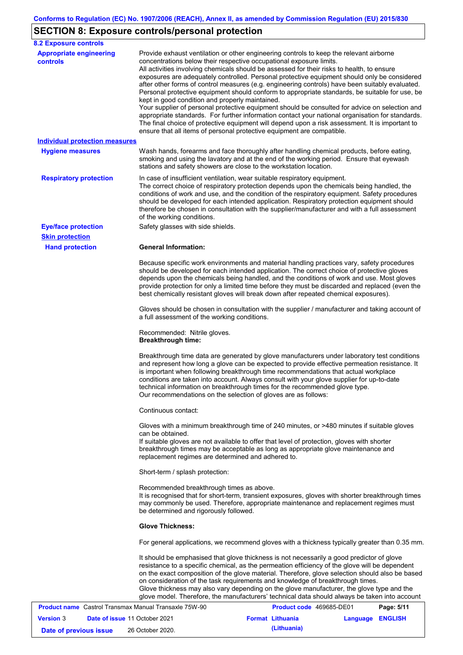# **SECTION 8: Exposure controls/personal protection**

| <b>8.2 Exposure controls</b>                                 |                                                                                                                                                                                                  |                                                                                                                                                                                                                                                                                                                                                                                                                                                                                                                                                                                                                                                                                                                                                                                                     |            |
|--------------------------------------------------------------|--------------------------------------------------------------------------------------------------------------------------------------------------------------------------------------------------|-----------------------------------------------------------------------------------------------------------------------------------------------------------------------------------------------------------------------------------------------------------------------------------------------------------------------------------------------------------------------------------------------------------------------------------------------------------------------------------------------------------------------------------------------------------------------------------------------------------------------------------------------------------------------------------------------------------------------------------------------------------------------------------------------------|------------|
| <b>Appropriate engineering</b><br><b>controls</b>            | concentrations below their respective occupational exposure limits.<br>kept in good condition and properly maintained.<br>ensure that all items of personal protective equipment are compatible. | Provide exhaust ventilation or other engineering controls to keep the relevant airborne<br>All activities involving chemicals should be assessed for their risks to health, to ensure<br>exposures are adequately controlled. Personal protective equipment should only be considered<br>after other forms of control measures (e.g. engineering controls) have been suitably evaluated.<br>Personal protective equipment should conform to appropriate standards, be suitable for use, be<br>Your supplier of personal protective equipment should be consulted for advice on selection and<br>appropriate standards. For further information contact your national organisation for standards.<br>The final choice of protective equipment will depend upon a risk assessment. It is important to |            |
| <b>Individual protection measures</b>                        |                                                                                                                                                                                                  |                                                                                                                                                                                                                                                                                                                                                                                                                                                                                                                                                                                                                                                                                                                                                                                                     |            |
| <b>Hygiene measures</b>                                      | stations and safety showers are close to the workstation location.                                                                                                                               | Wash hands, forearms and face thoroughly after handling chemical products, before eating,<br>smoking and using the lavatory and at the end of the working period. Ensure that eyewash                                                                                                                                                                                                                                                                                                                                                                                                                                                                                                                                                                                                               |            |
| <b>Respiratory protection</b>                                | In case of insufficient ventilation, wear suitable respiratory equipment.<br>of the working conditions.                                                                                          | The correct choice of respiratory protection depends upon the chemicals being handled, the<br>conditions of work and use, and the condition of the respiratory equipment. Safety procedures<br>should be developed for each intended application. Respiratory protection equipment should<br>therefore be chosen in consultation with the supplier/manufacturer and with a full assessment                                                                                                                                                                                                                                                                                                                                                                                                          |            |
| <b>Eye/face protection</b>                                   | Safety glasses with side shields.                                                                                                                                                                |                                                                                                                                                                                                                                                                                                                                                                                                                                                                                                                                                                                                                                                                                                                                                                                                     |            |
| <b>Skin protection</b>                                       |                                                                                                                                                                                                  |                                                                                                                                                                                                                                                                                                                                                                                                                                                                                                                                                                                                                                                                                                                                                                                                     |            |
| <b>Hand protection</b>                                       | <b>General Information:</b>                                                                                                                                                                      | Because specific work environments and material handling practices vary, safety procedures<br>should be developed for each intended application. The correct choice of protective gloves<br>depends upon the chemicals being handled, and the conditions of work and use. Most gloves<br>provide protection for only a limited time before they must be discarded and replaced (even the<br>best chemically resistant gloves will break down after repeated chemical exposures).                                                                                                                                                                                                                                                                                                                    |            |
|                                                              | a full assessment of the working conditions.                                                                                                                                                     | Gloves should be chosen in consultation with the supplier / manufacturer and taking account of                                                                                                                                                                                                                                                                                                                                                                                                                                                                                                                                                                                                                                                                                                      |            |
|                                                              | Recommended: Nitrile gloves.<br><b>Breakthrough time:</b>                                                                                                                                        |                                                                                                                                                                                                                                                                                                                                                                                                                                                                                                                                                                                                                                                                                                                                                                                                     |            |
|                                                              | Our recommendations on the selection of gloves are as follows:                                                                                                                                   | Breakthrough time data are generated by glove manufacturers under laboratory test conditions<br>and represent how long a glove can be expected to provide effective permeation resistance. It<br>is important when following breakthrough time recommendations that actual workplace<br>conditions are taken into account. Always consult with your glove supplier for up-to-date<br>technical information on breakthrough times for the recommended glove type.                                                                                                                                                                                                                                                                                                                                    |            |
|                                                              | Continuous contact:                                                                                                                                                                              |                                                                                                                                                                                                                                                                                                                                                                                                                                                                                                                                                                                                                                                                                                                                                                                                     |            |
|                                                              | can be obtained.<br>replacement regimes are determined and adhered to.                                                                                                                           | Gloves with a minimum breakthrough time of 240 minutes, or >480 minutes if suitable gloves<br>If suitable gloves are not available to offer that level of protection, gloves with shorter<br>breakthrough times may be acceptable as long as appropriate glove maintenance and                                                                                                                                                                                                                                                                                                                                                                                                                                                                                                                      |            |
|                                                              | Short-term / splash protection:                                                                                                                                                                  |                                                                                                                                                                                                                                                                                                                                                                                                                                                                                                                                                                                                                                                                                                                                                                                                     |            |
|                                                              | Recommended breakthrough times as above.<br>be determined and rigorously followed.                                                                                                               | It is recognised that for short-term, transient exposures, gloves with shorter breakthrough times<br>may commonly be used. Therefore, appropriate maintenance and replacement regimes must                                                                                                                                                                                                                                                                                                                                                                                                                                                                                                                                                                                                          |            |
|                                                              | <b>Glove Thickness:</b>                                                                                                                                                                          |                                                                                                                                                                                                                                                                                                                                                                                                                                                                                                                                                                                                                                                                                                                                                                                                     |            |
|                                                              |                                                                                                                                                                                                  | For general applications, we recommend gloves with a thickness typically greater than 0.35 mm.                                                                                                                                                                                                                                                                                                                                                                                                                                                                                                                                                                                                                                                                                                      |            |
|                                                              |                                                                                                                                                                                                  | It should be emphasised that glove thickness is not necessarily a good predictor of glove<br>resistance to a specific chemical, as the permeation efficiency of the glove will be dependent<br>on the exact composition of the glove material. Therefore, glove selection should also be based<br>on consideration of the task requirements and knowledge of breakthrough times.<br>Glove thickness may also vary depending on the glove manufacturer, the glove type and the<br>glove model. Therefore, the manufacturers' technical data should always be taken into account                                                                                                                                                                                                                      |            |
| <b>Product name</b> Castrol Transmax Manual Transaxle 75W-90 |                                                                                                                                                                                                  | Product code 469685-DE01                                                                                                                                                                                                                                                                                                                                                                                                                                                                                                                                                                                                                                                                                                                                                                            | Page: 5/11 |

|                        | <b>Product name</b> Castrol Transmax Manual Transaxle 75W-90 | <b>Product code</b> 469685-DE01 |                  | Page: 5/11 |
|------------------------|--------------------------------------------------------------|---------------------------------|------------------|------------|
| <b>Version</b> 3       | <b>Date of issue 11 October 2021</b>                         | <b>Format Lithuania</b>         | Language ENGLISH |            |
| Date of previous issue | 26 October 2020.                                             | (Lithuania)                     |                  |            |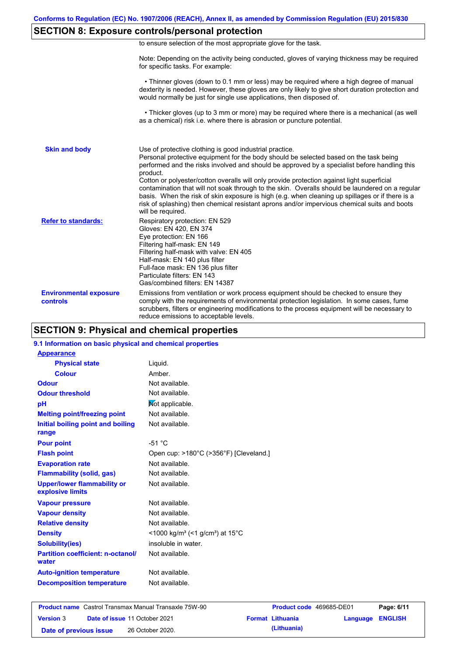# **SECTION 8: Exposure controls/personal protection**

|  | to ensure selection of the most appropriate glove for the task. |  |  |  |  |
|--|-----------------------------------------------------------------|--|--|--|--|
|  |                                                                 |  |  |  |  |

Note: Depending on the activity being conducted, gloves of varying thickness may be required for specific tasks. For example:

 • Thinner gloves (down to 0.1 mm or less) may be required where a high degree of manual dexterity is needed. However, these gloves are only likely to give short duration protection and would normally be just for single use applications, then disposed of.

 • Thicker gloves (up to 3 mm or more) may be required where there is a mechanical (as well as a chemical) risk i.e. where there is abrasion or puncture potential.

| <b>Skin and body</b>                             | Use of protective clothing is good industrial practice.<br>Personal protective equipment for the body should be selected based on the task being<br>performed and the risks involved and should be approved by a specialist before handling this<br>product.<br>Cotton or polyester/cotton overalls will only provide protection against light superficial<br>contamination that will not soak through to the skin. Overalls should be laundered on a regular<br>basis. When the risk of skin exposure is high (e.g. when cleaning up spillages or if there is a<br>risk of splashing) then chemical resistant aprons and/or impervious chemical suits and boots<br>will be required. |
|--------------------------------------------------|---------------------------------------------------------------------------------------------------------------------------------------------------------------------------------------------------------------------------------------------------------------------------------------------------------------------------------------------------------------------------------------------------------------------------------------------------------------------------------------------------------------------------------------------------------------------------------------------------------------------------------------------------------------------------------------|
| <b>Refer to standards:</b>                       | Respiratory protection: EN 529<br>Gloves: EN 420, EN 374<br>Eye protection: EN 166<br>Filtering half-mask: EN 149<br>Filtering half-mask with valve: EN 405<br>Half-mask: EN 140 plus filter<br>Full-face mask: EN 136 plus filter<br>Particulate filters: EN 143<br>Gas/combined filters: EN 14387                                                                                                                                                                                                                                                                                                                                                                                   |
| <b>Environmental exposure</b><br><b>controls</b> | Emissions from ventilation or work process equipment should be checked to ensure they<br>comply with the requirements of environmental protection legislation. In some cases, fume<br>scrubbers, filters or engineering modifications to the process equipment will be necessary to<br>reduce emissions to acceptable levels.                                                                                                                                                                                                                                                                                                                                                         |

## **SECTION 9: Physical and chemical properties**

### **9.1 Information on basic physical and chemical properties**

| <b>Appearance</b>                                      |                                                                      |
|--------------------------------------------------------|----------------------------------------------------------------------|
| <b>Physical state</b>                                  | Liquid.                                                              |
| <b>Colour</b>                                          | Amber.                                                               |
| <b>Odour</b>                                           | Not available.                                                       |
| <b>Odour threshold</b>                                 | Not available.                                                       |
| рH                                                     | Not applicable.                                                      |
| <b>Melting point/freezing point</b>                    | Not available.                                                       |
| Initial boiling point and boiling                      | Not available.                                                       |
| range                                                  |                                                                      |
| <b>Pour point</b>                                      | $-51 °C$                                                             |
| <b>Flash point</b>                                     | Open cup: >180°C (>356°F) [Cleveland.]                               |
| <b>Evaporation rate</b>                                | Not available.                                                       |
| <b>Flammability (solid, gas)</b>                       | Not available.                                                       |
| <b>Upper/lower flammability or</b><br>explosive limits | Not available.                                                       |
| <b>Vapour pressure</b>                                 | Not available.                                                       |
| <b>Vapour density</b>                                  | Not available.                                                       |
| <b>Relative density</b>                                | Not available.                                                       |
| <b>Density</b>                                         | <1000 kg/m <sup>3</sup> (<1 g/cm <sup>3</sup> ) at 15 <sup>°</sup> C |
| <b>Solubility(ies)</b>                                 | insoluble in water.                                                  |
| <b>Partition coefficient: n-octanol/</b><br>water      | Not available.                                                       |
| <b>Auto-ignition temperature</b>                       | Not available.                                                       |
| <b>Decomposition temperature</b>                       | Not available.                                                       |

|                        | <b>Product name</b> Castrol Transmax Manual Transaxle 75W-90 | <b>Product code</b> 469685-DE01 |                         | Page: 6/11 |
|------------------------|--------------------------------------------------------------|---------------------------------|-------------------------|------------|
| <b>Version 3</b>       | <b>Date of issue 11 October 2021</b>                         | <b>Format Lithuania</b>         | <b>Language ENGLISH</b> |            |
| Date of previous issue | 26 October 2020.                                             | (Lithuania)                     |                         |            |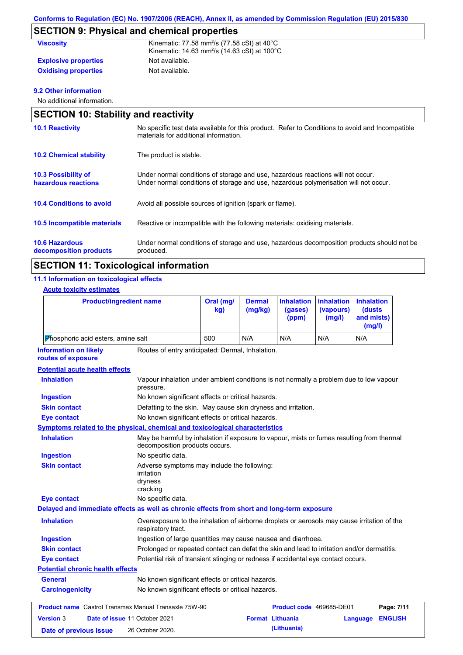# **SECTION 9: Physical and chemical properties**

| <b>Viscosity</b>            | Kinematic: 77.58 mm <sup>2</sup> /s (77.58 cSt) at $40^{\circ}$ C<br>Kinematic: $14.63$ mm <sup>2</sup> /s ( $14.63$ cSt) at $100^{\circ}$ C |
|-----------------------------|----------------------------------------------------------------------------------------------------------------------------------------------|
| <b>Explosive properties</b> | Not available.                                                                                                                               |
| <b>Oxidising properties</b> | Not available.                                                                                                                               |

### **9.2 Other information**

No additional information.

| <b>SECTION 10: Stability and reactivity</b>       |                                                                                                                                                                         |  |  |  |
|---------------------------------------------------|-------------------------------------------------------------------------------------------------------------------------------------------------------------------------|--|--|--|
| <b>10.1 Reactivity</b>                            | No specific test data available for this product. Refer to Conditions to avoid and Incompatible<br>materials for additional information.                                |  |  |  |
| <b>10.2 Chemical stability</b>                    | The product is stable.                                                                                                                                                  |  |  |  |
| <b>10.3 Possibility of</b><br>hazardous reactions | Under normal conditions of storage and use, hazardous reactions will not occur.<br>Under normal conditions of storage and use, hazardous polymerisation will not occur. |  |  |  |
| <b>10.4 Conditions to avoid</b>                   | Avoid all possible sources of ignition (spark or flame).                                                                                                                |  |  |  |
| 10.5 Incompatible materials                       | Reactive or incompatible with the following materials: oxidising materials.                                                                                             |  |  |  |
| <b>10.6 Hazardous</b><br>decomposition products   | Under normal conditions of storage and use, hazardous decomposition products should not be<br>produced.                                                                 |  |  |  |

# **SECTION 11: Toxicological information**

### **11.1 Information on toxicological effects**

|                                                                                            | <b>Product/ingredient name</b>                                                                                              | Oral (mg/<br>kg)                                                                            | <b>Dermal</b> | <b>Inhalation</b> | <b>Inhalation</b>   | <b>Inhalation</b>              |
|--------------------------------------------------------------------------------------------|-----------------------------------------------------------------------------------------------------------------------------|---------------------------------------------------------------------------------------------|---------------|-------------------|---------------------|--------------------------------|
|                                                                                            |                                                                                                                             |                                                                                             | (mg/kg)       | (gases)<br>(ppm)  | (vapours)<br>(mg/l) | (dusts<br>and mists)<br>(mg/l) |
| Phosphoric acid esters, amine salt                                                         |                                                                                                                             | 500                                                                                         | N/A           | N/A               | N/A                 | N/A                            |
| <b>Information on likely</b><br>routes of exposure                                         | Routes of entry anticipated: Dermal, Inhalation.                                                                            |                                                                                             |               |                   |                     |                                |
| <b>Potential acute health effects</b>                                                      |                                                                                                                             |                                                                                             |               |                   |                     |                                |
| <b>Inhalation</b>                                                                          | Vapour inhalation under ambient conditions is not normally a problem due to low vapour<br>pressure.                         |                                                                                             |               |                   |                     |                                |
| <b>Ingestion</b>                                                                           | No known significant effects or critical hazards.                                                                           |                                                                                             |               |                   |                     |                                |
| <b>Skin contact</b>                                                                        | Defatting to the skin. May cause skin dryness and irritation.                                                               |                                                                                             |               |                   |                     |                                |
| <b>Eye contact</b>                                                                         |                                                                                                                             | No known significant effects or critical hazards.                                           |               |                   |                     |                                |
| <b>Symptoms related to the physical, chemical and toxicological characteristics</b>        |                                                                                                                             |                                                                                             |               |                   |                     |                                |
| <b>Inhalation</b>                                                                          | May be harmful by inhalation if exposure to vapour, mists or fumes resulting from thermal<br>decomposition products occurs. |                                                                                             |               |                   |                     |                                |
| <b>Ingestion</b>                                                                           | No specific data.                                                                                                           |                                                                                             |               |                   |                     |                                |
| <b>Skin contact</b>                                                                        | irritation<br>dryness<br>cracking                                                                                           | Adverse symptoms may include the following:                                                 |               |                   |                     |                                |
| <b>Eye contact</b>                                                                         | No specific data.                                                                                                           |                                                                                             |               |                   |                     |                                |
| Delayed and immediate effects as well as chronic effects from short and long-term exposure |                                                                                                                             |                                                                                             |               |                   |                     |                                |
| <b>Inhalation</b>                                                                          | respiratory tract.                                                                                                          | Overexposure to the inhalation of airborne droplets or aerosols may cause irritation of the |               |                   |                     |                                |
| <b>Ingestion</b>                                                                           | Ingestion of large quantities may cause nausea and diarrhoea.                                                               |                                                                                             |               |                   |                     |                                |
| <b>Skin contact</b>                                                                        | Prolonged or repeated contact can defat the skin and lead to irritation and/or dermatitis.                                  |                                                                                             |               |                   |                     |                                |
| <b>Eye contact</b>                                                                         |                                                                                                                             | Potential risk of transient stinging or redness if accidental eye contact occurs.           |               |                   |                     |                                |
| <b>Potential chronic health effects</b>                                                    |                                                                                                                             |                                                                                             |               |                   |                     |                                |

General **General** No known significant effects or critical hazards. **Carcinogenicity** No known significant effects or critical hazards.

|                        | <b>Product name</b> Castrol Transmax Manual Transaxle 75W-90 | <b>Product code</b> 469685-DE01 |                         | Page: 7/11 |
|------------------------|--------------------------------------------------------------|---------------------------------|-------------------------|------------|
| <b>Version 3</b>       | <b>Date of issue 11 October 2021</b>                         | <b>Format Lithuania</b>         | <b>Language ENGLISH</b> |            |
| Date of previous issue | 26 October 2020.                                             | (Lithuania)                     |                         |            |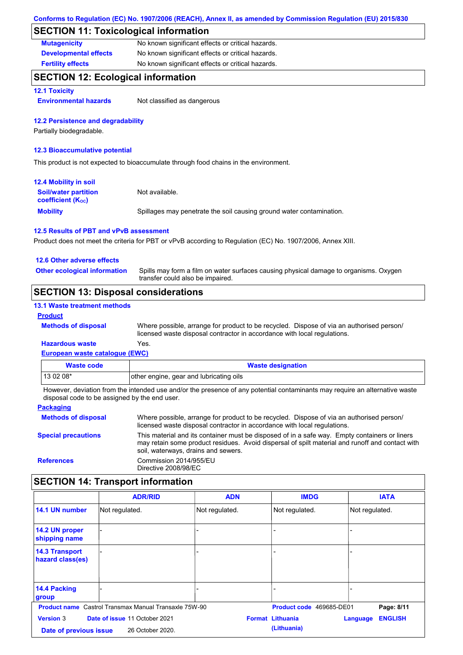# **SECTION 11: Toxicological information**

| <b>Mutagenicity</b>          | No known significant effects or critical hazards. |
|------------------------------|---------------------------------------------------|
| <b>Developmental effects</b> | No known significant effects or critical hazards. |
| <b>Fertility effects</b>     | No known significant effects or critical hazards. |

### **SECTION 12: Ecological information**

**12.1 Toxicity**

**Environmental hazards** Not classified as dangerous

#### **12.2 Persistence and degradability**

Partially biodegradable.

#### **12.3 Bioaccumulative potential**

This product is not expected to bioaccumulate through food chains in the environment.

| <b>12.4 Mobility in soil</b>                                  |                                                                      |
|---------------------------------------------------------------|----------------------------------------------------------------------|
| <b>Soil/water partition</b><br>coefficient (K <sub>oc</sub> ) | Not available.                                                       |
| <b>Mobility</b>                                               | Spillages may penetrate the soil causing ground water contamination. |

#### **12.5 Results of PBT and vPvB assessment**

Product does not meet the criteria for PBT or vPvB according to Regulation (EC) No. 1907/2006, Annex XIII.

### **12.6 Other adverse effects**

Spills may form a film on water surfaces causing physical damage to organisms. Oxygen transfer could also be impaired. **Other ecological information**

### **SECTION 13: Disposal considerations**

#### **13.1 Waste treatment methods**

#### **Product**

**Methods of disposal**

Where possible, arrange for product to be recycled. Dispose of via an authorised person/ licensed waste disposal contractor in accordance with local regulations.

### **Hazardous waste** Yes.

**European waste catalogue (EWC)**

| Waste code | <b>Waste designation</b>                |
|------------|-----------------------------------------|
| 13 02 08*  | other engine, gear and lubricating oils |

However, deviation from the intended use and/or the presence of any potential contaminants may require an alternative waste disposal code to be assigned by the end user.

| <b>Packaging</b>           |                                                                                                                                                                                                                                         |
|----------------------------|-----------------------------------------------------------------------------------------------------------------------------------------------------------------------------------------------------------------------------------------|
| <b>Methods of disposal</b> | Where possible, arrange for product to be recycled. Dispose of via an authorised person/<br>licensed waste disposal contractor in accordance with local regulations.                                                                    |
| <b>Special precautions</b> | This material and its container must be disposed of in a safe way. Empty containers or liners<br>may retain some product residues. Avoid dispersal of spilt material and runoff and contact with<br>soil, waterways, drains and sewers. |
| <b>References</b>          | Commission 2014/955/EU<br>Directive 2008/98/EC                                                                                                                                                                                          |

# **SECTION 14: Transport information**

|                                            | <b>ADR/RID</b>                                               | <b>ADN</b>     | <b>IMDG</b>                            | <b>IATA</b>                |
|--------------------------------------------|--------------------------------------------------------------|----------------|----------------------------------------|----------------------------|
| 14.1 UN number                             | Not regulated.                                               | Not regulated. | Not regulated.                         | Not regulated.             |
| 14.2 UN proper<br>shipping name            |                                                              |                |                                        |                            |
| <b>14.3 Transport</b><br>hazard class(es)  |                                                              |                |                                        |                            |
| 14.4 Packing<br>group                      |                                                              |                |                                        |                            |
|                                            | <b>Product name</b> Castrol Transmax Manual Transaxle 75W-90 |                | Product code 469685-DE01               | Page: 8/11                 |
| <b>Version 3</b><br>Date of previous issue | Date of issue 11 October 2021<br>26 October 2020.            |                | <b>Format Lithuania</b><br>(Lithuania) | <b>ENGLISH</b><br>Language |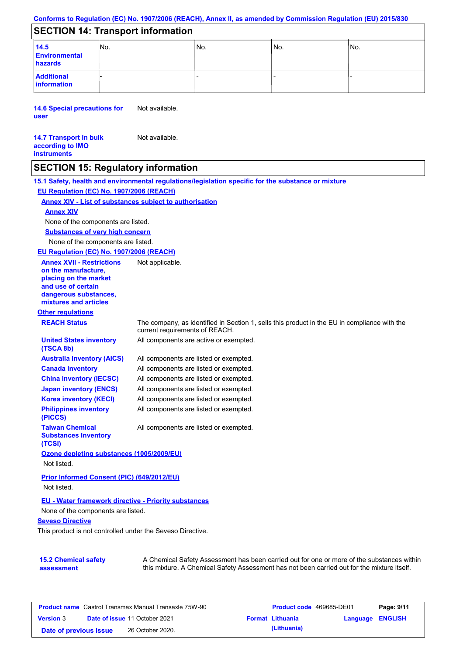# **SECTION 14: Transport information**

| 14.5<br>Environmental<br>hazards | INo. | 'No. | IN <sub>o</sub> | INo. |
|----------------------------------|------|------|-----------------|------|
| <b>Additional</b><br>information |      | -    |                 |      |

**14.6 Special precautions for user** Not available.

| <b>14.7 Transport in bulk</b> | Not available. |
|-------------------------------|----------------|
| according to IMO              |                |
| <b>instruments</b>            |                |

### **SECTION 15: Regulatory information**

**15.1 Safety, health and environmental regulations/legislation specific for the substance or mixture EU Regulation (EC) No. 1907/2006 (REACH)**

### **Annex XIV - List of substances subject to authorisation**

#### **Annex XIV**

None of the components are listed.

**Substances of very high concern**

None of the components are listed.

**EU Regulation (EC) No. 1907/2006 (REACH)**

**Annex XVII - Restrictions on the manufacture, placing on the market and use of certain dangerous substances, mixtures and articles**

**United States inventory** 

**Other regulations**

**Canada inventory**

**Taiwan Chemical Substances Inventory** 

**(TSCA 8b)**

**(PICCS)**

**(TCSI)**

**REACH Status** The company, as identified in Section 1, sells this product in the EU in compliance with the current requirements of REACH. All components are active or exempted.

All components are listed or exempted. All components are listed or exempted. **Australia inventory (AICS)**

All components are listed or exempted. All components are listed or exempted. **China inventory (IECSC) Japan inventory (ENCS)**

Not applicable.

All components are listed or exempted. **Korea inventory (KECI)**

All components are listed or exempted. **Philippines inventory** 

All components are listed or exempted.

### **Ozone depleting substances (1005/2009/EU)** Not listed.

**Prior Informed Consent (PIC) (649/2012/EU)** Not listed.

#### **EU - Water framework directive - Priority substances**

None of the components are listed.

#### **Seveso Directive**

This product is not controlled under the Seveso Directive.

#### **15.2 Chemical safety assessment**

A Chemical Safety Assessment has been carried out for one or more of the substances within this mixture. A Chemical Safety Assessment has not been carried out for the mixture itself.

| <b>Product name</b> Castrol Transmax Manual Transaxle 75W-90 |  | <b>Product code</b> 469685-DE01      |  | Page: 9/11              |                         |  |
|--------------------------------------------------------------|--|--------------------------------------|--|-------------------------|-------------------------|--|
| <b>Version 3</b>                                             |  | <b>Date of issue 11 October 2021</b> |  | <b>Format Lithuania</b> | <b>Language ENGLISH</b> |  |
| Date of previous issue                                       |  | 26 October 2020.                     |  | (Lithuania)             |                         |  |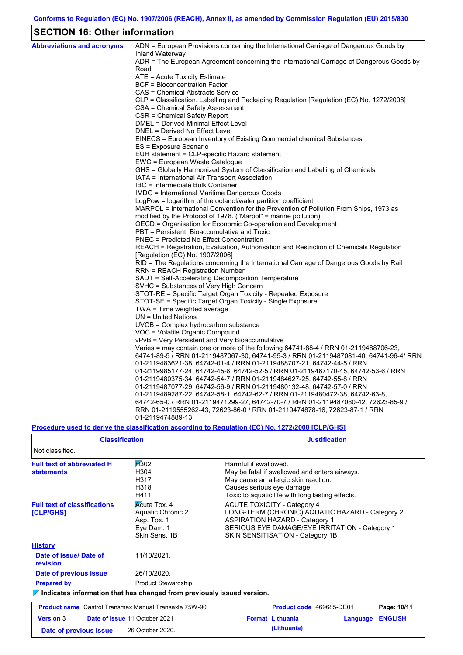# **SECTION 16: Other information**

 $\mathsf{r}$ 

| <b>Abbreviations and acronyms</b> | ADN = European Provisions concerning the International Carriage of Dangerous Goods by                                                                              |
|-----------------------------------|--------------------------------------------------------------------------------------------------------------------------------------------------------------------|
|                                   | Inland Waterway                                                                                                                                                    |
|                                   | ADR = The European Agreement concerning the International Carriage of Dangerous Goods by<br>Road                                                                   |
|                                   | ATE = Acute Toxicity Estimate                                                                                                                                      |
|                                   | <b>BCF</b> = Bioconcentration Factor                                                                                                                               |
|                                   | CAS = Chemical Abstracts Service                                                                                                                                   |
|                                   | CLP = Classification, Labelling and Packaging Regulation [Regulation (EC) No. 1272/2008]                                                                           |
|                                   | CSA = Chemical Safety Assessment                                                                                                                                   |
|                                   | CSR = Chemical Safety Report                                                                                                                                       |
|                                   | DMEL = Derived Minimal Effect Level                                                                                                                                |
|                                   | DNEL = Derived No Effect Level                                                                                                                                     |
|                                   | EINECS = European Inventory of Existing Commercial chemical Substances                                                                                             |
|                                   | ES = Exposure Scenario                                                                                                                                             |
|                                   | EUH statement = CLP-specific Hazard statement                                                                                                                      |
|                                   | EWC = European Waste Catalogue                                                                                                                                     |
|                                   | GHS = Globally Harmonized System of Classification and Labelling of Chemicals                                                                                      |
|                                   | IATA = International Air Transport Association                                                                                                                     |
|                                   | IBC = Intermediate Bulk Container                                                                                                                                  |
|                                   | IMDG = International Maritime Dangerous Goods                                                                                                                      |
|                                   | LogPow = logarithm of the octanol/water partition coefficient                                                                                                      |
|                                   | MARPOL = International Convention for the Prevention of Pollution From Ships, 1973 as                                                                              |
|                                   | modified by the Protocol of 1978. ("Marpol" = marine pollution)                                                                                                    |
|                                   | OECD = Organisation for Economic Co-operation and Development                                                                                                      |
|                                   | PBT = Persistent, Bioaccumulative and Toxic<br><b>PNEC = Predicted No Effect Concentration</b>                                                                     |
|                                   | REACH = Registration, Evaluation, Authorisation and Restriction of Chemicals Regulation                                                                            |
|                                   | [Regulation (EC) No. 1907/2006]                                                                                                                                    |
|                                   | RID = The Regulations concerning the International Carriage of Dangerous Goods by Rail                                                                             |
|                                   | RRN = REACH Registration Number                                                                                                                                    |
|                                   | SADT = Self-Accelerating Decomposition Temperature                                                                                                                 |
|                                   | SVHC = Substances of Very High Concern                                                                                                                             |
|                                   | STOT-RE = Specific Target Organ Toxicity - Repeated Exposure                                                                                                       |
|                                   | STOT-SE = Specific Target Organ Toxicity - Single Exposure                                                                                                         |
|                                   | TWA = Time weighted average                                                                                                                                        |
|                                   | $UN = United Nations$                                                                                                                                              |
|                                   | UVCB = Complex hydrocarbon substance                                                                                                                               |
|                                   | VOC = Volatile Organic Compound                                                                                                                                    |
|                                   | vPvB = Very Persistent and Very Bioaccumulative                                                                                                                    |
|                                   | Varies = may contain one or more of the following 64741-88-4 / RRN 01-2119488706-23,                                                                               |
|                                   | 64741-89-5 / RRN 01-2119487067-30, 64741-95-3 / RRN 01-2119487081-40, 64741-96-4/ RRN                                                                              |
|                                   | 01-2119483621-38, 64742-01-4 / RRN 01-2119488707-21, 64742-44-5 / RRN                                                                                              |
|                                   | 01-2119985177-24, 64742-45-6, 64742-52-5 / RRN 01-2119467170-45, 64742-53-6 / RRN                                                                                  |
|                                   | 01-2119480375-34, 64742-54-7 / RRN 01-2119484627-25, 64742-55-8 / RRN                                                                                              |
|                                   | 01-2119487077-29, 64742-56-9 / RRN 01-2119480132-48, 64742-57-0 / RRN                                                                                              |
|                                   | 01-2119489287-22, 64742-58-1, 64742-62-7 / RRN 01-2119480472-38, 64742-63-8,<br>64742-65-0 / RRN 01-2119471299-27, 64742-70-7 / RRN 01-2119487080-42, 72623-85-9 / |
|                                   | RRN 01-2119555262-43, 72623-86-0 / RRN 01-2119474878-16, 72623-87-1 / RRN                                                                                          |
|                                   | 01-2119474889-13                                                                                                                                                   |

# **Procedure used to derive the classification according to Regulation (EC) No. 1272/2008 [CLP/GHS]**

| <b>Classification</b>                                        |                                                                                        | <b>Justification</b>                                                                                                                                                                                                 |  |  |  |
|--------------------------------------------------------------|----------------------------------------------------------------------------------------|----------------------------------------------------------------------------------------------------------------------------------------------------------------------------------------------------------------------|--|--|--|
| Not classified.                                              |                                                                                        |                                                                                                                                                                                                                      |  |  |  |
| <b>Full text of abbreviated H</b><br><b>statements</b>       | <b>H</b> 302<br>H304<br>H317<br>H318<br>H411                                           | Harmful if swallowed.<br>May be fatal if swallowed and enters airways.<br>May cause an allergic skin reaction.<br>Causes serious eye damage.<br>Toxic to aquatic life with long lasting effects.                     |  |  |  |
| <b>Full text of classifications</b><br>[CLP/GHS]             | <b>Acute Tox. 4</b><br>Aquatic Chronic 2<br>Asp. Tox. 1<br>Eve Dam. 1<br>Skin Sens, 1B | <b>ACUTE TOXICITY - Category 4</b><br>LONG-TERM (CHRONIC) AQUATIC HAZARD - Category 2<br><b>ASPIRATION HAZARD - Category 1</b><br>SERIOUS EYE DAMAGE/EYE IRRITATION - Category 1<br>SKIN SENSITISATION - Category 1B |  |  |  |
| <b>History</b>                                               |                                                                                        |                                                                                                                                                                                                                      |  |  |  |
| Date of issue/ Date of<br>revision                           | 11/10/2021.                                                                            |                                                                                                                                                                                                                      |  |  |  |
| Date of previous issue                                       | 26/10/2020.                                                                            |                                                                                                                                                                                                                      |  |  |  |
| <b>Prepared by</b>                                           | <b>Product Stewardship</b>                                                             |                                                                                                                                                                                                                      |  |  |  |
|                                                              | $\triangledown$ Indicates information that has changed from previously issued version. |                                                                                                                                                                                                                      |  |  |  |
| <b>Product name</b> Castrol Transmax Manual Transaxle 75W-90 |                                                                                        | Product code 469685-DE01<br>Page: 10/11                                                                                                                                                                              |  |  |  |
| <b>Version 3</b>                                             | Date of issue 11 October 2021                                                          | <b>Format Lithuania</b><br><b>ENGLISH</b><br>Language                                                                                                                                                                |  |  |  |
| Date of previous issue                                       | 26 October 2020.                                                                       | (Lithuania)                                                                                                                                                                                                          |  |  |  |